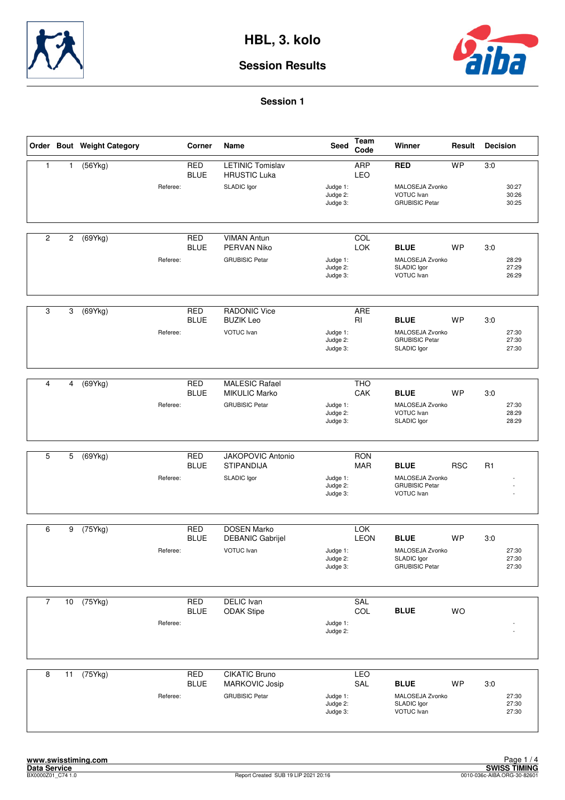



|                |                | Order Bout Weight Category |          | Corner                    | Name                                                                   | <b>Seed</b>                      | Team<br>Code              | Winner                                                                 | Result     | <b>Decision</b>                |
|----------------|----------------|----------------------------|----------|---------------------------|------------------------------------------------------------------------|----------------------------------|---------------------------|------------------------------------------------------------------------|------------|--------------------------------|
| $\mathbf{1}$   | $\mathbf{1}$   | (56Ykg)                    | Referee: | <b>RED</b><br><b>BLUE</b> | <b>LETINIC Tomislav</b><br><b>HRUSTIC Luka</b><br>SLADIC Igor          | Judge 1:<br>Judge 2:<br>Judge 3: | <b>ARP</b><br>LEO         | <b>RED</b><br>MALOSEJA Zvonko<br>VOTUC Ivan<br><b>GRUBISIC Petar</b>   | <b>WP</b>  | 3:0<br>30:27<br>30:26<br>30:25 |
| $\overline{2}$ | $\overline{c}$ | (69Ykg)                    | Referee: | <b>RED</b><br><b>BLUE</b> | <b>VIMAN Antun</b><br>PERVAN Niko<br><b>GRUBISIC Petar</b>             | Judge 1:<br>Judge 2:<br>Judge 3: | COL<br>LOK                | <b>BLUE</b><br>MALOSEJA Zvonko<br>SLADIC Igor<br>VOTUC Ivan            | WP         | 3:0<br>28:29<br>27:29<br>26:29 |
| 3              | 3              | (69Ykg)                    | Referee: | <b>RED</b><br><b>BLUE</b> | <b>RADONIC Vice</b><br><b>BUZIK Leo</b><br>VOTUC Ivan                  | Judge 1:<br>Judge 2:<br>Judge 3: | <b>ARE</b><br>RI          | <b>BLUE</b><br>MALOSEJA Zvonko<br><b>GRUBISIC Petar</b><br>SLADIC Igor | <b>WP</b>  | 3:0<br>27:30<br>27:30<br>27:30 |
| $\overline{4}$ | 4              | $\overline{(69Ykg)}$       | Referee: | <b>RED</b><br><b>BLUE</b> | <b>MALESIC Rafael</b><br><b>MIKULIC Marko</b><br><b>GRUBISIC Petar</b> | Judge 1:<br>Judge 2:<br>Judge 3: | <b>THO</b><br>CAK         | <b>BLUE</b><br>MALOSEJA Zvonko<br>VOTUC Ivan<br>SLADIC Igor            | <b>WP</b>  | 3:0<br>27:30<br>28:29<br>28:29 |
| 5              | 5              | (69Ykg)                    | Referee: | <b>RED</b><br><b>BLUE</b> | JAKOPOVIC Antonio<br><b>STIPANDIJA</b><br>SLADIC Igor                  | Judge 1:<br>Judge 2:<br>Judge 3: | <b>RON</b><br><b>MAR</b>  | <b>BLUE</b><br>MALOSEJA Zvonko<br><b>GRUBISIC Petar</b><br>VOTUC Ivan  | <b>RSC</b> | R <sub>1</sub>                 |
| 6              | 9              | (75Ykg)                    | Referee: | <b>RED</b><br><b>BLUE</b> | <b>DOSEN Marko</b><br><b>DEBANIC Gabrijel</b><br>VOTUC Ivan            | Judge 1:<br>Judge 2:<br>Judge 3: | <b>TOK</b><br><b>LEON</b> | <b>BLUE</b><br>MALOSEJA Zvonko<br>SLADIC Igor<br><b>GRUBISIC Petar</b> | WP         | 3:0<br>27:30<br>27:30<br>27:30 |
| $\overline{7}$ | 10             | (75Ykg)                    | Referee: | <b>RED</b><br><b>BLUE</b> | <b>DELIC</b> Ivan<br><b>ODAK Stipe</b>                                 | Judge 1:<br>Judge 2:             | <b>SAL</b><br>COL         | <b>BLUE</b>                                                            | WO         |                                |
| 8              | 11             | (75Ykg)                    | Referee: | <b>RED</b><br><b>BLUE</b> | <b>CIKATIC Bruno</b><br>MARKOVIC Josip<br><b>GRUBISIC Petar</b>        | Judge 1:<br>Judge 2:<br>Judge 3: | LEO<br>SAL                | <b>BLUE</b><br>MALOSEJA Zvonko<br>SLADIC Igor<br>VOTUC Ivan            | WP         | 3:0<br>27:30<br>27:30<br>27:30 |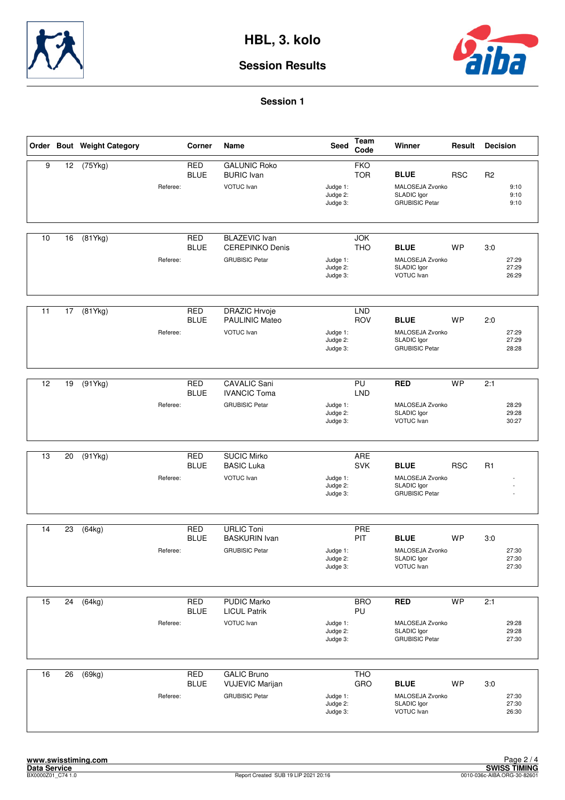



|    |                 | Order Bout Weight Category |          | Corner                    | Name                                                                    | Seed                             | <b>Team</b><br>Code          | Winner                                                                 | Result     | <b>Decision</b> |                         |
|----|-----------------|----------------------------|----------|---------------------------|-------------------------------------------------------------------------|----------------------------------|------------------------------|------------------------------------------------------------------------|------------|-----------------|-------------------------|
| 9  | 12              | (75Ykg)                    | Referee: | <b>RED</b><br><b>BLUE</b> | <b>GALUNIC Roko</b><br><b>BURIC</b> Ivan<br>VOTUC Ivan                  | Judge 1:<br>Judge 2:<br>Judge 3: | <b>FKO</b><br><b>TOR</b>     | <b>BLUE</b><br>MALOSEJA Zvonko<br>SLADIC lgor<br><b>GRUBISIC Petar</b> | <b>RSC</b> | R <sub>2</sub>  | 9:10<br>9:10<br>9:10    |
| 10 | 16              | (81Ykg)                    | Referee: | <b>RED</b><br><b>BLUE</b> | <b>BLAZEVIC Ivan</b><br><b>CEREPINKO Denis</b><br><b>GRUBISIC Petar</b> | Judge 1:<br>Judge 2:<br>Judge 3: | <b>JOK</b><br><b>THO</b>     | <b>BLUE</b><br>MALOSEJA Zvonko<br>SLADIC Igor<br>VOTUC Ivan            | <b>WP</b>  | 3:0             | 27:29<br>27:29<br>26:29 |
| 11 | 17              | (81Ykg)                    | Referee: | <b>RED</b><br><b>BLUE</b> | <b>DRAZIC Hrvoje</b><br><b>PAULINIC Mateo</b><br>VOTUC Ivan             | Judge 1:<br>Judge 2:<br>Judge 3: | <b>LND</b><br><b>ROV</b>     | <b>BLUE</b><br>MALOSEJA Zvonko<br>SLADIC Igor<br><b>GRUBISIC Petar</b> | <b>WP</b>  | 2:0             | 27:29<br>27:29<br>28:28 |
| 12 | 19              | (91Ykg)                    | Referee: | <b>RED</b><br><b>BLUE</b> | <b>CAVALIC Sani</b><br><b>IVANCIC Toma</b><br><b>GRUBISIC Petar</b>     | Judge 1:<br>Judge 2:<br>Judge 3: | P <sub>U</sub><br><b>LND</b> | <b>RED</b><br>MALOSEJA Zvonko<br>SLADIC Igor<br>VOTUC Ivan             | <b>WP</b>  | 2:1             | 28:29<br>29:28<br>30:27 |
| 13 | 20              | (91Ykg)                    | Referee: | <b>RED</b><br><b>BLUE</b> | <b>SUCIC Mirko</b><br><b>BASIC Luka</b><br>VOTUC Ivan                   | Judge 1:<br>Judge 2:<br>Judge 3: | <b>ARE</b><br><b>SVK</b>     | <b>BLUE</b><br>MALOSEJA Zvonko<br>SLADIC Igor<br><b>GRUBISIC Petar</b> | <b>RSC</b> | R <sub>1</sub>  |                         |
| 14 | 23              | (64kg)                     | Referee: | <b>RED</b><br><b>BLUE</b> | <b>URLIC Toni</b><br><b>BASKURIN</b> Ivan<br><b>GRUBISIC Petar</b>      | Judge 1:<br>Judge 2:<br>Judge 3: | PRE<br>PIT                   | <b>BLUE</b><br>MALOSEJA Zvonko<br>SLADIC Igor<br>VOTUC Ivan            | <b>WP</b>  | 3:0             | 27:30<br>27:30<br>27:30 |
| 15 | $\overline{24}$ | (64kg)                     | Referee: | <b>RED</b><br><b>BLUE</b> | <b>PUDIC Marko</b><br><b>LICUL Patrik</b><br>VOTUC Ivan                 | Judge 1:<br>Judge 2:<br>Judge 3: | <b>BRO</b><br>PU             | <b>RED</b><br>MALOSEJA Zvonko<br>SLADIC Igor<br><b>GRUBISIC Petar</b>  | <b>WP</b>  | 2:1             | 29:28<br>29:28<br>27:30 |
| 16 | 26              | (69kg)                     | Referee: | <b>RED</b><br><b>BLUE</b> | <b>GALIC Bruno</b><br><b>VUJEVIC Marijan</b><br><b>GRUBISIC Petar</b>   | Judge 1:<br>Judge 2:<br>Judge 3: | <b>THO</b><br>GRO            | <b>BLUE</b><br>MALOSEJA Zvonko<br>SLADIC Igor<br>VOTUC Ivan            | WP         | 3:0             | 27:30<br>27:30<br>26:30 |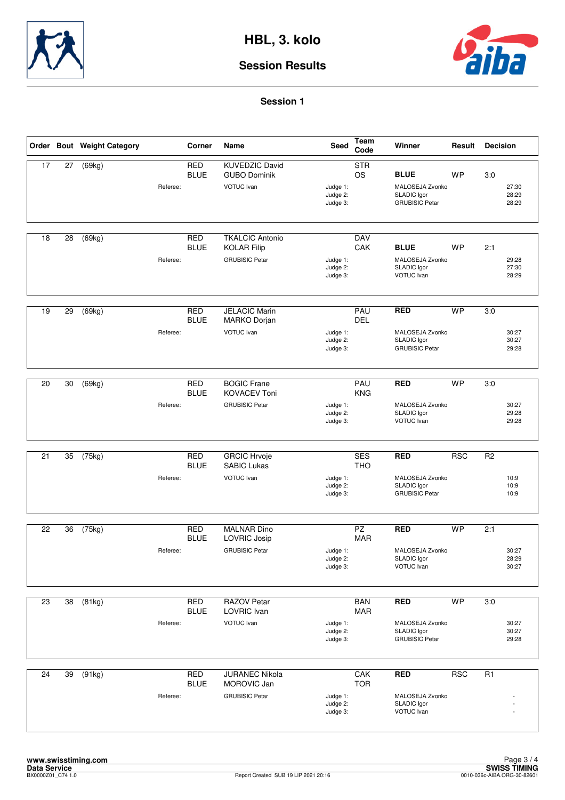



|                 |    | Order Bout Weight Category | Corner                    | Name                                                                  | Seed                             | Team<br>Code                  | Winner                                                                 | Result     | <b>Decision</b>                        |
|-----------------|----|----------------------------|---------------------------|-----------------------------------------------------------------------|----------------------------------|-------------------------------|------------------------------------------------------------------------|------------|----------------------------------------|
| 17              | 27 | (69kg)<br>Referee:         | <b>RED</b><br><b>BLUE</b> | <b>KUVEDZIC David</b><br><b>GUBO Dominik</b><br>VOTUC Ivan            | Judge 1:<br>Judge 2:<br>Judge 3: | <b>STR</b><br><b>OS</b>       | <b>BLUE</b><br>MALOSEJA Zvonko<br>SLADIC Igor<br><b>GRUBISIC Petar</b> | <b>WP</b>  | 3:0<br>27:30<br>28:29<br>28:29         |
| 18              | 28 | (69kg)<br>Referee:         | <b>RED</b><br><b>BLUE</b> | <b>TKALCIC Antonio</b><br><b>KOLAR Filip</b><br><b>GRUBISIC Petar</b> | Judge 1:<br>Judge 2:<br>Judge 3: | <b>DAV</b><br>CAK             | <b>BLUE</b><br>MALOSEJA Zvonko<br>SLADIC Igor<br>VOTUC Ivan            | <b>WP</b>  | 2:1<br>29:28<br>27:30<br>28:29         |
| 19              | 29 | (69kg)<br>Referee:         | RED<br><b>BLUE</b>        | <b>JELACIC Marin</b><br><b>MARKO Dorjan</b><br>VOTUC Ivan             | Judge 1:<br>Judge 2:<br>Judge 3: | PAU<br><b>DEL</b>             | <b>RED</b><br>MALOSEJA Zvonko<br>SLADIC Igor<br><b>GRUBISIC Petar</b>  | <b>WP</b>  | 3:0<br>30:27<br>30:27<br>29:28         |
| 20              | 30 | (69kg)<br>Referee:         | <b>RED</b><br><b>BLUE</b> | <b>BOGIC Frane</b><br><b>KOVACEV Toni</b><br><b>GRUBISIC Petar</b>    | Judge 1:<br>Judge 2:<br>Judge 3: | PAU<br><b>KNG</b>             | <b>RED</b><br>MALOSEJA Zvonko<br>SLADIC Igor<br>VOTUC Ivan             | <b>WP</b>  | 3:0<br>30:27<br>29:28<br>29:28         |
| 21              | 35 | (75kg)<br>Referee:         | <b>RED</b><br><b>BLUE</b> | <b>GRCIC Hrvoje</b><br>SABIC Lukas<br>VOTUC Ivan                      | Judge 1:<br>Judge 2:<br>Judge 3: | <b>SES</b><br><b>THO</b>      | <b>RED</b><br>MALOSEJA Zvonko<br>SLADIC Igor<br><b>GRUBISIC Petar</b>  | <b>RSC</b> | R <sub>2</sub><br>10:9<br>10:9<br>10:9 |
| 22              | 36 | (75kg)<br>Referee:         | <b>RED</b><br><b>BLUE</b> | <b>MALNAR Dino</b><br>LOVRIC Josip<br><b>GRUBISIC Petar</b>           | Judge 1:<br>Judge 2:<br>Judge 3: | $\overline{PZ}$<br><b>MAR</b> | <b>RED</b><br>MALOSEJA Zvonko<br>SLADIC Igor<br>VOTUC Ivan             | <b>WP</b>  | 2:1<br>30:27<br>28:29<br>30:27         |
| $\overline{23}$ | 38 | (81kg)<br>Referee:         | <b>RED</b><br><b>BLUE</b> | <b>RAZOV Petar</b><br>LOVRIC Ivan<br>VOTUC Ivan                       | Judge 1:<br>Judge 2:<br>Judge 3: | <b>BAN</b><br><b>MAR</b>      | <b>RED</b><br>MALOSEJA Zvonko<br>SLADIC Igor<br><b>GRUBISIC Petar</b>  | <b>WP</b>  | 3:0<br>30:27<br>30:27<br>29:28         |
| 24              | 39 | (91kg)<br>Referee:         | <b>RED</b><br><b>BLUE</b> | JURANEC Nikola<br>MOROVIC Jan<br><b>GRUBISIC Petar</b>                | Judge 1:<br>Judge 2:<br>Judge 3: | CAK<br><b>TOR</b>             | <b>RED</b><br>MALOSEJA Zvonko<br>SLADIC Igor<br>VOTUC Ivan             | <b>RSC</b> | R1                                     |